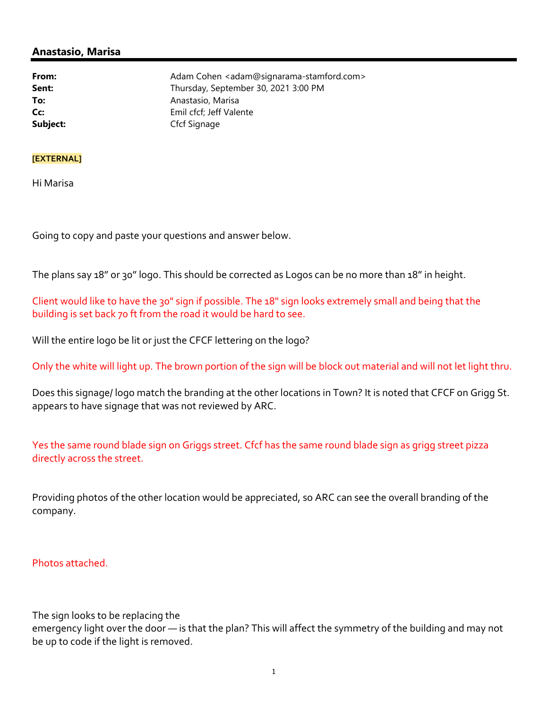## **Anastasio, Marisa**

**From:** Adam Cohen <adam@signarama-stamford.com> **Sent:** Thursday, September 30, 2021 3:00 PM **To:** Anastasio, Marisa **Cc:** Emil cfcf; Jeff Valente **Subject:** Cfcf Signage

## **[EXTERNAL]**

Hi Marisa

Going to copy and paste your questions and answer below.

The plans say 18" or 30" logo. This should be corrected as Logos can be no more than 18" in height.

Client would like to have the 30" sign if possible. The 18" sign looks extremely small and being that the building is set back 70 ft from the road it would be hard to see.

Will the entire logo be lit or just the CFCF lettering on the logo?

Only the white will light up. The brown portion of the sign will be block out material and will not let light thru.

Does this signage/ logo match the branding at the other locations in Town? It is noted that CFCF on Grigg St. appears to have signage that was not reviewed by ARC.

Yes the same round blade sign on Griggs street. Cfcf has the same round blade sign as grigg street pizza directly across the street.

Providing photos of the other location would be appreciated, so ARC can see the overall branding of the company.

## Photos attached.

The sign looks to be replacing the

emergency light over the door — is that the plan? This will affect the symmetry of the building and may not be up to code if the light is removed.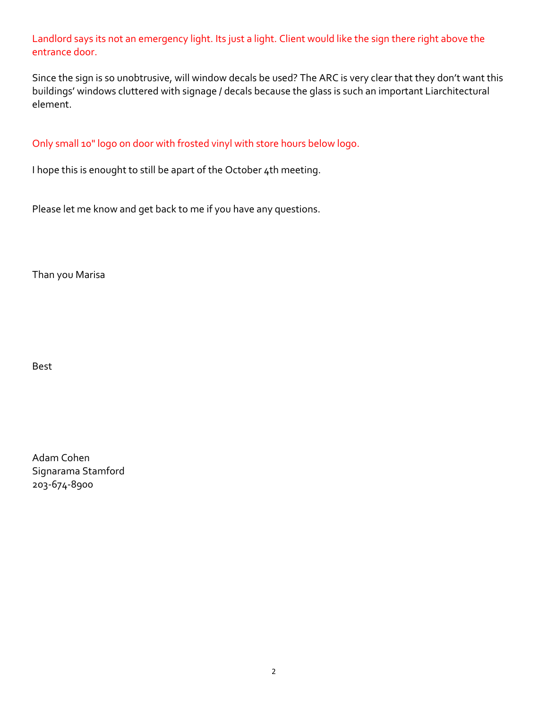## Landlord says its not an emergency light. Its just a light. Client would like the sign there right above the entrance door.

Since the sign is so unobtrusive, will window decals be used? The ARC is very clear that they don't want this buildings' windows cluttered with signage / decals because the glass is such an important Liarchitectural element.

Only small 10" logo on door with frosted vinyl with store hours below logo.

I hope this is enought to still be apart of the October 4th meeting.

Please let me know and get back to me if you have any questions.

Than you Marisa

Best

Adam Cohen Signarama Stamford 203‐674‐8900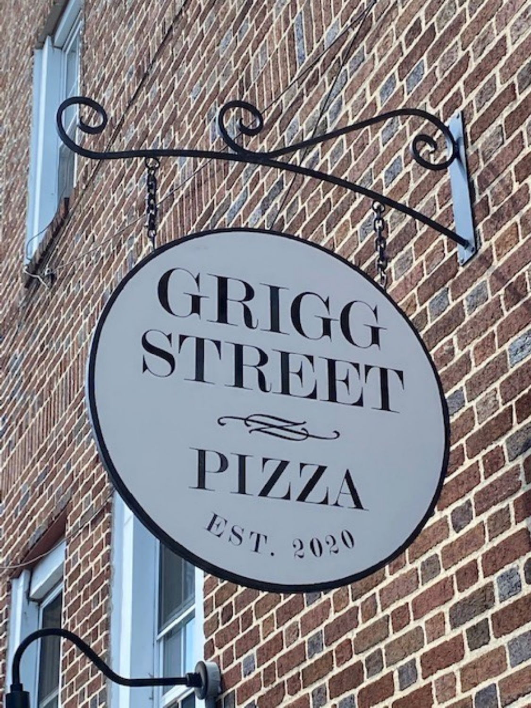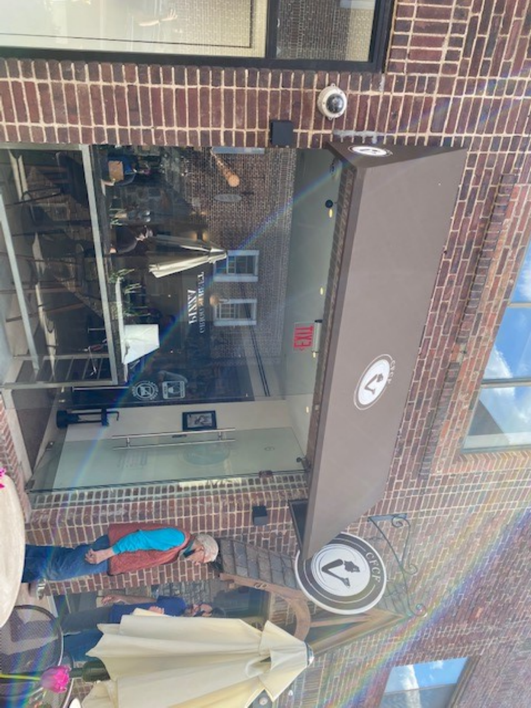